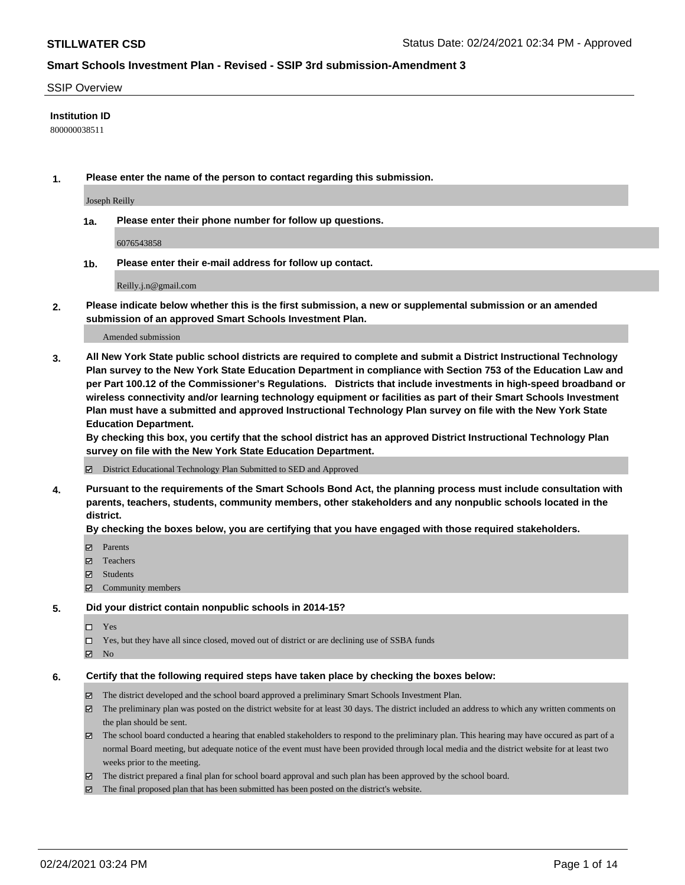### SSIP Overview

### **Institution ID**

800000038511

**1. Please enter the name of the person to contact regarding this submission.**

Joseph Reilly

**1a. Please enter their phone number for follow up questions.**

6076543858

**1b. Please enter their e-mail address for follow up contact.**

Reilly.j.n@gmail.com

**2. Please indicate below whether this is the first submission, a new or supplemental submission or an amended submission of an approved Smart Schools Investment Plan.**

#### Amended submission

**3. All New York State public school districts are required to complete and submit a District Instructional Technology Plan survey to the New York State Education Department in compliance with Section 753 of the Education Law and per Part 100.12 of the Commissioner's Regulations. Districts that include investments in high-speed broadband or wireless connectivity and/or learning technology equipment or facilities as part of their Smart Schools Investment Plan must have a submitted and approved Instructional Technology Plan survey on file with the New York State Education Department.** 

**By checking this box, you certify that the school district has an approved District Instructional Technology Plan survey on file with the New York State Education Department.**

District Educational Technology Plan Submitted to SED and Approved

**4. Pursuant to the requirements of the Smart Schools Bond Act, the planning process must include consultation with parents, teachers, students, community members, other stakeholders and any nonpublic schools located in the district.** 

### **By checking the boxes below, you are certifying that you have engaged with those required stakeholders.**

- **Ø** Parents
- Teachers
- Students
- Community members

#### **5. Did your district contain nonpublic schools in 2014-15?**

- □ Yes
- □ Yes, but they have all since closed, moved out of district or are declining use of SSBA funds
- **Ø** No

### **6. Certify that the following required steps have taken place by checking the boxes below:**

- The district developed and the school board approved a preliminary Smart Schools Investment Plan.
- The preliminary plan was posted on the district website for at least 30 days. The district included an address to which any written comments on the plan should be sent.
- The school board conducted a hearing that enabled stakeholders to respond to the preliminary plan. This hearing may have occured as part of a normal Board meeting, but adequate notice of the event must have been provided through local media and the district website for at least two weeks prior to the meeting.
- The district prepared a final plan for school board approval and such plan has been approved by the school board.
- $\boxtimes$  The final proposed plan that has been submitted has been posted on the district's website.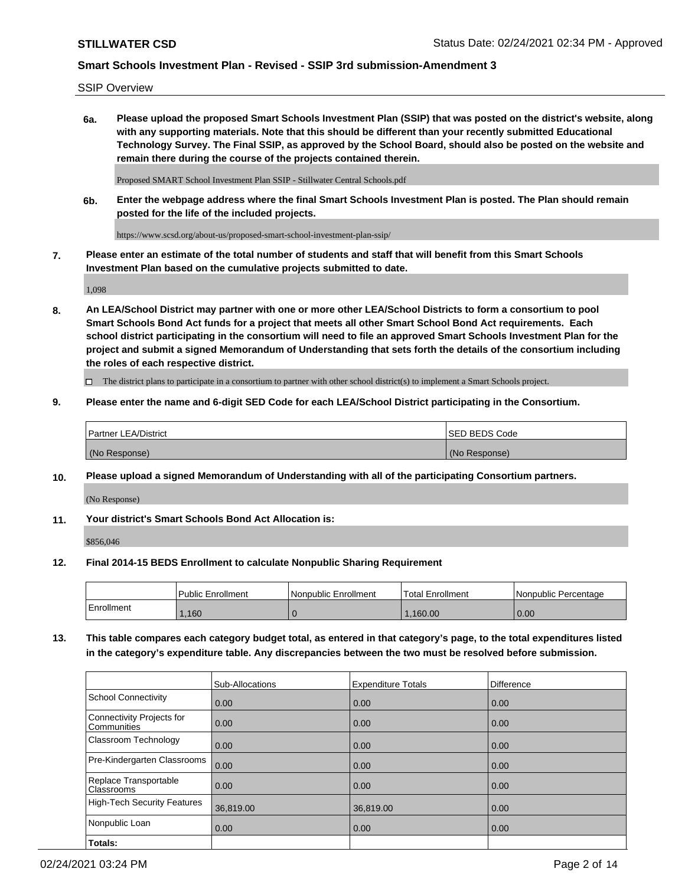SSIP Overview

**6a. Please upload the proposed Smart Schools Investment Plan (SSIP) that was posted on the district's website, along with any supporting materials. Note that this should be different than your recently submitted Educational Technology Survey. The Final SSIP, as approved by the School Board, should also be posted on the website and remain there during the course of the projects contained therein.**

Proposed SMART School Investment Plan SSIP - Stillwater Central Schools.pdf

**6b. Enter the webpage address where the final Smart Schools Investment Plan is posted. The Plan should remain posted for the life of the included projects.**

https://www.scsd.org/about-us/proposed-smart-school-investment-plan-ssip/

**7. Please enter an estimate of the total number of students and staff that will benefit from this Smart Schools Investment Plan based on the cumulative projects submitted to date.**

1,098

**8. An LEA/School District may partner with one or more other LEA/School Districts to form a consortium to pool Smart Schools Bond Act funds for a project that meets all other Smart School Bond Act requirements. Each school district participating in the consortium will need to file an approved Smart Schools Investment Plan for the project and submit a signed Memorandum of Understanding that sets forth the details of the consortium including the roles of each respective district.**

 $\Box$  The district plans to participate in a consortium to partner with other school district(s) to implement a Smart Schools project.

### **9. Please enter the name and 6-digit SED Code for each LEA/School District participating in the Consortium.**

| <sup>1</sup> Partner LEA/District | <b>ISED BEDS Code</b> |
|-----------------------------------|-----------------------|
| (No Response)                     | (No Response)         |

### **10. Please upload a signed Memorandum of Understanding with all of the participating Consortium partners.**

(No Response)

**11. Your district's Smart Schools Bond Act Allocation is:**

\$856,046

#### **12. Final 2014-15 BEDS Enrollment to calculate Nonpublic Sharing Requirement**

|            | Public Enrollment | Nonpublic Enrollment | Total Enrollment | l Nonpublic Percentage |
|------------|-------------------|----------------------|------------------|------------------------|
| Enrollment | .160              |                      | .160.00          | 0.00                   |

**13. This table compares each category budget total, as entered in that category's page, to the total expenditures listed in the category's expenditure table. Any discrepancies between the two must be resolved before submission.**

|                                          | Sub-Allocations | <b>Expenditure Totals</b> | <b>Difference</b> |
|------------------------------------------|-----------------|---------------------------|-------------------|
| <b>School Connectivity</b>               | 0.00            | 0.00                      | 0.00              |
| Connectivity Projects for<br>Communities | 0.00            | 0.00                      | 0.00              |
| Classroom Technology                     | 0.00            | 0.00                      | 0.00              |
| Pre-Kindergarten Classrooms              | 0.00            | 0.00                      | 0.00              |
| Replace Transportable<br>Classrooms      | 0.00            | 0.00                      | 0.00              |
| High-Tech Security Features              | 36,819.00       | 36,819.00                 | 0.00              |
| Nonpublic Loan                           | 0.00            | 0.00                      | 0.00              |
| Totals:                                  |                 |                           |                   |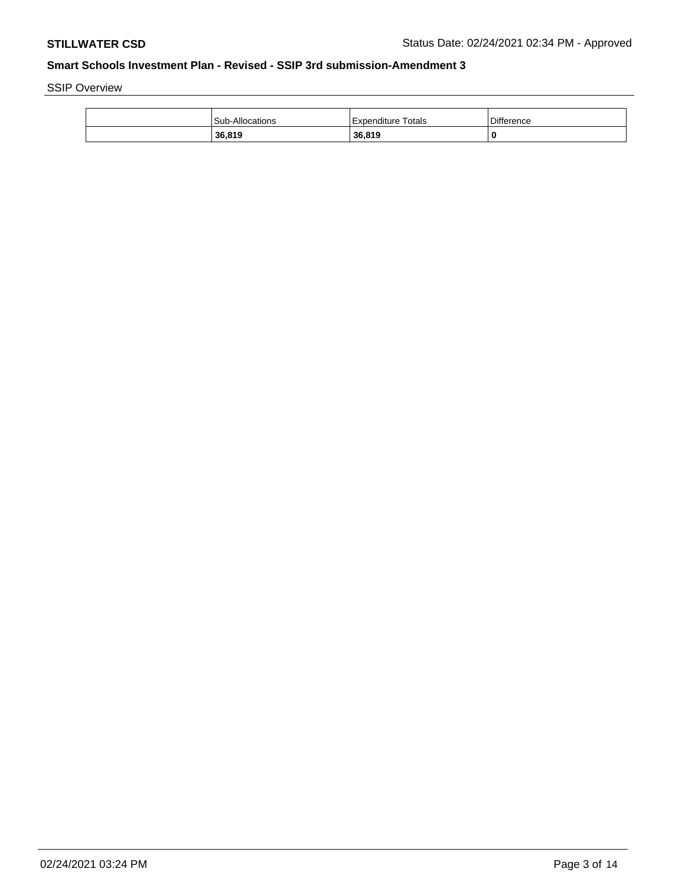SSIP Overview

| <b>Sub-Allocations</b> | Expenditure Totals | <b>Difference</b> |
|------------------------|--------------------|-------------------|
| 36,819                 | 36.819             | 0                 |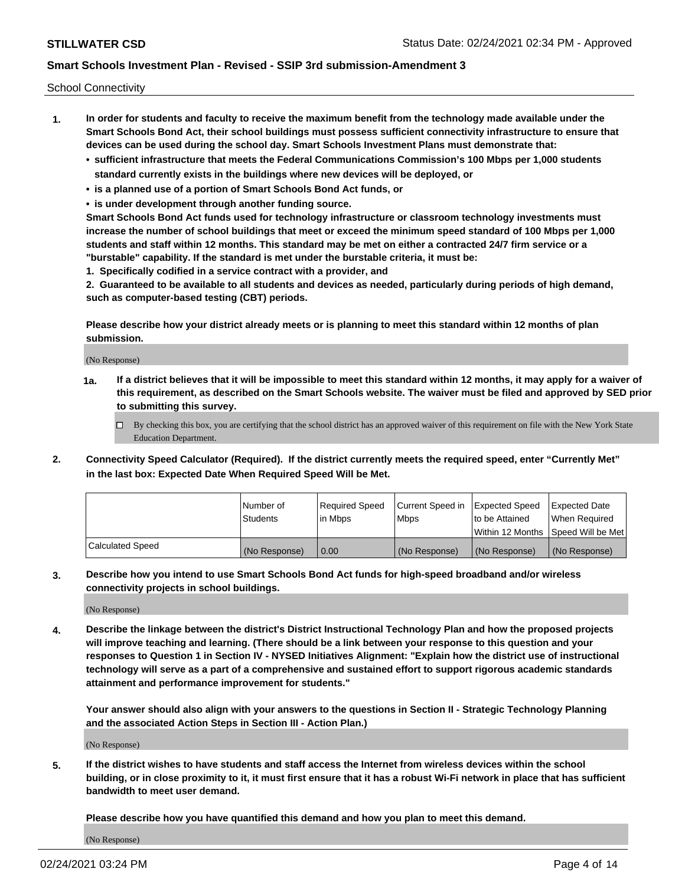School Connectivity

- **1. In order for students and faculty to receive the maximum benefit from the technology made available under the Smart Schools Bond Act, their school buildings must possess sufficient connectivity infrastructure to ensure that devices can be used during the school day. Smart Schools Investment Plans must demonstrate that:**
	- **• sufficient infrastructure that meets the Federal Communications Commission's 100 Mbps per 1,000 students standard currently exists in the buildings where new devices will be deployed, or**
	- **• is a planned use of a portion of Smart Schools Bond Act funds, or**
	- **• is under development through another funding source.**

**Smart Schools Bond Act funds used for technology infrastructure or classroom technology investments must increase the number of school buildings that meet or exceed the minimum speed standard of 100 Mbps per 1,000 students and staff within 12 months. This standard may be met on either a contracted 24/7 firm service or a "burstable" capability. If the standard is met under the burstable criteria, it must be:**

**1. Specifically codified in a service contract with a provider, and**

**2. Guaranteed to be available to all students and devices as needed, particularly during periods of high demand, such as computer-based testing (CBT) periods.**

**Please describe how your district already meets or is planning to meet this standard within 12 months of plan submission.**

(No Response)

**1a. If a district believes that it will be impossible to meet this standard within 12 months, it may apply for a waiver of this requirement, as described on the Smart Schools website. The waiver must be filed and approved by SED prior to submitting this survey.**

 $\Box$  By checking this box, you are certifying that the school district has an approved waiver of this requirement on file with the New York State Education Department.

**2. Connectivity Speed Calculator (Required). If the district currently meets the required speed, enter "Currently Met" in the last box: Expected Date When Required Speed Will be Met.**

|                  | l Number of     | Required Speed | Current Speed in | Expected Speed  | Expected Date                           |
|------------------|-----------------|----------------|------------------|-----------------|-----------------------------------------|
|                  | <b>Students</b> | In Mbps        | l Mbps           | to be Attained  | When Required                           |
|                  |                 |                |                  |                 | l Within 12 Months ISpeed Will be Met l |
| Calculated Speed | (No Response)   | 0.00           | (No Response)    | l (No Response) | l (No Response)                         |

**3. Describe how you intend to use Smart Schools Bond Act funds for high-speed broadband and/or wireless connectivity projects in school buildings.**

(No Response)

**4. Describe the linkage between the district's District Instructional Technology Plan and how the proposed projects will improve teaching and learning. (There should be a link between your response to this question and your responses to Question 1 in Section IV - NYSED Initiatives Alignment: "Explain how the district use of instructional technology will serve as a part of a comprehensive and sustained effort to support rigorous academic standards attainment and performance improvement for students."** 

**Your answer should also align with your answers to the questions in Section II - Strategic Technology Planning and the associated Action Steps in Section III - Action Plan.)**

(No Response)

**5. If the district wishes to have students and staff access the Internet from wireless devices within the school building, or in close proximity to it, it must first ensure that it has a robust Wi-Fi network in place that has sufficient bandwidth to meet user demand.**

**Please describe how you have quantified this demand and how you plan to meet this demand.**

(No Response)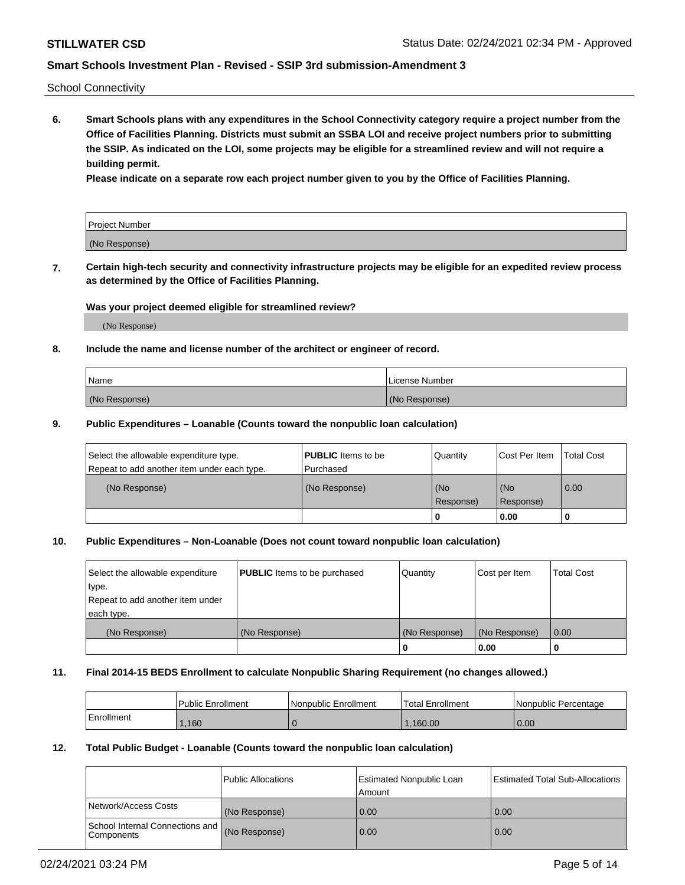School Connectivity

**6. Smart Schools plans with any expenditures in the School Connectivity category require a project number from the Office of Facilities Planning. Districts must submit an SSBA LOI and receive project numbers prior to submitting the SSIP. As indicated on the LOI, some projects may be eligible for a streamlined review and will not require a building permit.**

**Please indicate on a separate row each project number given to you by the Office of Facilities Planning.**

| Project Number |  |
|----------------|--|
| (No Response)  |  |

**7. Certain high-tech security and connectivity infrastructure projects may be eligible for an expedited review process as determined by the Office of Facilities Planning.**

### **Was your project deemed eligible for streamlined review?**

(No Response)

### **8. Include the name and license number of the architect or engineer of record.**

| Name          | License Number |
|---------------|----------------|
| (No Response) | (No Response)  |

### **9. Public Expenditures – Loanable (Counts toward the nonpublic loan calculation)**

| Select the allowable expenditure type.<br>Repeat to add another item under each type. | <b>PUBLIC</b> Items to be<br>l Purchased | Quantity           | Cost Per Item    | <b>Total Cost</b> |
|---------------------------------------------------------------------------------------|------------------------------------------|--------------------|------------------|-------------------|
| (No Response)                                                                         | (No Response)                            | l (No<br>Response) | (No<br>Response) | $\overline{0.00}$ |
|                                                                                       |                                          | O                  | 0.00             |                   |

## **10. Public Expenditures – Non-Loanable (Does not count toward nonpublic loan calculation)**

| Select the allowable expenditure<br>type.<br>Repeat to add another item under<br>each type. | <b>PUBLIC</b> Items to be purchased | Quantity      | Cost per Item | <b>Total Cost</b> |
|---------------------------------------------------------------------------------------------|-------------------------------------|---------------|---------------|-------------------|
| (No Response)                                                                               | (No Response)                       | (No Response) | (No Response) | 0.00              |
|                                                                                             |                                     |               | 0.00          |                   |

#### **11. Final 2014-15 BEDS Enrollment to calculate Nonpublic Sharing Requirement (no changes allowed.)**

|            | Public Enrollment | l Nonpublic Enrollment | <b>Total Enrollment</b> | Nonpublic Percentage |
|------------|-------------------|------------------------|-------------------------|----------------------|
| Enrollment | .160              |                        | .160.00                 | 0.00                 |

### **12. Total Public Budget - Loanable (Counts toward the nonpublic loan calculation)**

|                                               | Public Allocations | <b>Estimated Nonpublic Loan</b><br>Amount | Estimated Total Sub-Allocations |
|-----------------------------------------------|--------------------|-------------------------------------------|---------------------------------|
| Network/Access Costs                          | (No Response)      | 0.00                                      | 0.00                            |
| School Internal Connections and<br>Components | (No Response)      | 0.00                                      | 0.00                            |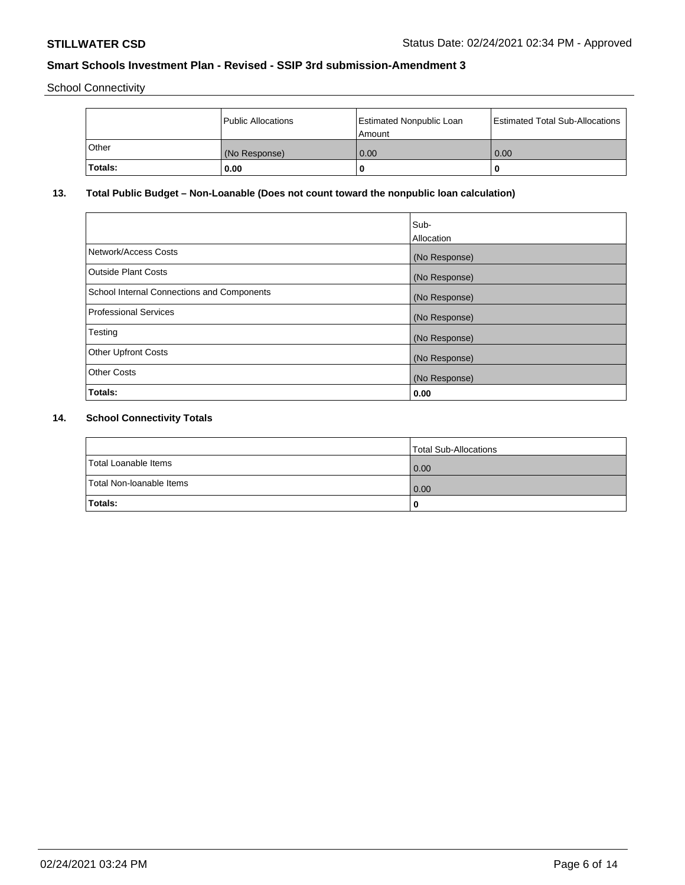School Connectivity

|         | <b>Public Allocations</b> | <b>Estimated Nonpublic Loan</b><br>Amount | <b>Estimated Total Sub-Allocations</b> |
|---------|---------------------------|-------------------------------------------|----------------------------------------|
| Other   | (No Response)             | 0.00                                      | 0.00                                   |
| Totals: | 0.00                      |                                           | O                                      |

# **13. Total Public Budget – Non-Loanable (Does not count toward the nonpublic loan calculation)**

|                                                   | Sub-<br>Allocation |
|---------------------------------------------------|--------------------|
| Network/Access Costs                              | (No Response)      |
| <b>Outside Plant Costs</b>                        | (No Response)      |
| <b>School Internal Connections and Components</b> | (No Response)      |
| <b>Professional Services</b>                      | (No Response)      |
| Testing                                           | (No Response)      |
| <b>Other Upfront Costs</b>                        | (No Response)      |
| <b>Other Costs</b>                                | (No Response)      |
| Totals:                                           | 0.00               |

# **14. School Connectivity Totals**

|                          | Total Sub-Allocations |
|--------------------------|-----------------------|
| Total Loanable Items     | 0.00                  |
| Total Non-Ioanable Items | 0.00                  |
| Totals:                  | 0                     |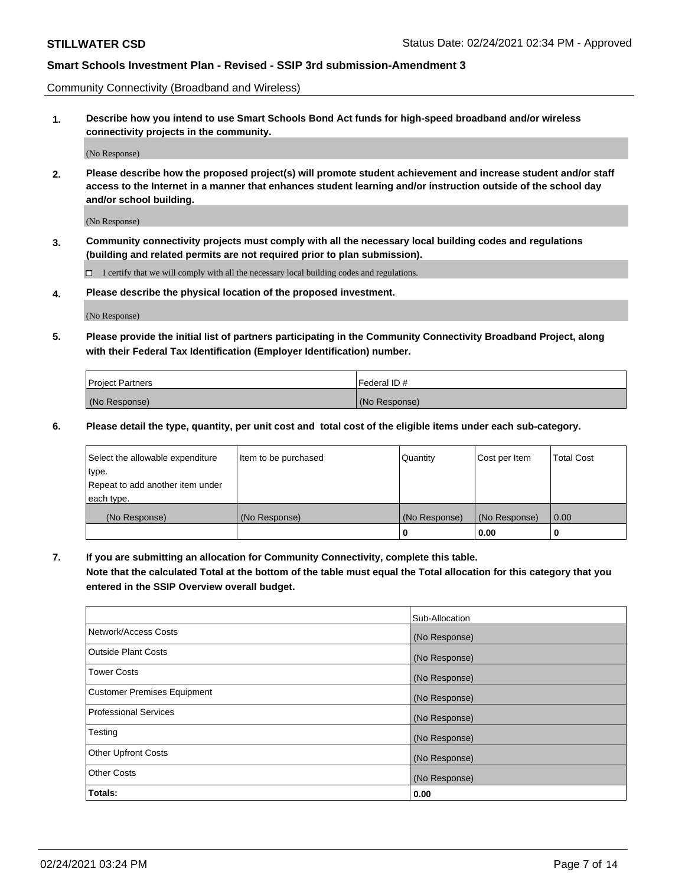Community Connectivity (Broadband and Wireless)

**1. Describe how you intend to use Smart Schools Bond Act funds for high-speed broadband and/or wireless connectivity projects in the community.**

(No Response)

**2. Please describe how the proposed project(s) will promote student achievement and increase student and/or staff access to the Internet in a manner that enhances student learning and/or instruction outside of the school day and/or school building.**

(No Response)

**3. Community connectivity projects must comply with all the necessary local building codes and regulations (building and related permits are not required prior to plan submission).**

 $\Box$  I certify that we will comply with all the necessary local building codes and regulations.

**4. Please describe the physical location of the proposed investment.**

(No Response)

**5. Please provide the initial list of partners participating in the Community Connectivity Broadband Project, along with their Federal Tax Identification (Employer Identification) number.**

| <b>Project Partners</b> | l Federal ID # |
|-------------------------|----------------|
| (No Response)           | (No Response)  |

**6. Please detail the type, quantity, per unit cost and total cost of the eligible items under each sub-category.**

| Select the allowable expenditure | Item to be purchased | Quantity      | Cost per Item | <b>Total Cost</b> |
|----------------------------------|----------------------|---------------|---------------|-------------------|
| type.                            |                      |               |               |                   |
| Repeat to add another item under |                      |               |               |                   |
| each type.                       |                      |               |               |                   |
| (No Response)                    | (No Response)        | (No Response) | (No Response) | 0.00              |
|                                  |                      | U             | 0.00          |                   |

**7. If you are submitting an allocation for Community Connectivity, complete this table.**

**Note that the calculated Total at the bottom of the table must equal the Total allocation for this category that you entered in the SSIP Overview overall budget.**

|                                    | Sub-Allocation |
|------------------------------------|----------------|
| Network/Access Costs               | (No Response)  |
| Outside Plant Costs                | (No Response)  |
| <b>Tower Costs</b>                 | (No Response)  |
| <b>Customer Premises Equipment</b> | (No Response)  |
| <b>Professional Services</b>       | (No Response)  |
| Testing                            | (No Response)  |
| <b>Other Upfront Costs</b>         | (No Response)  |
| <b>Other Costs</b>                 | (No Response)  |
| Totals:                            | 0.00           |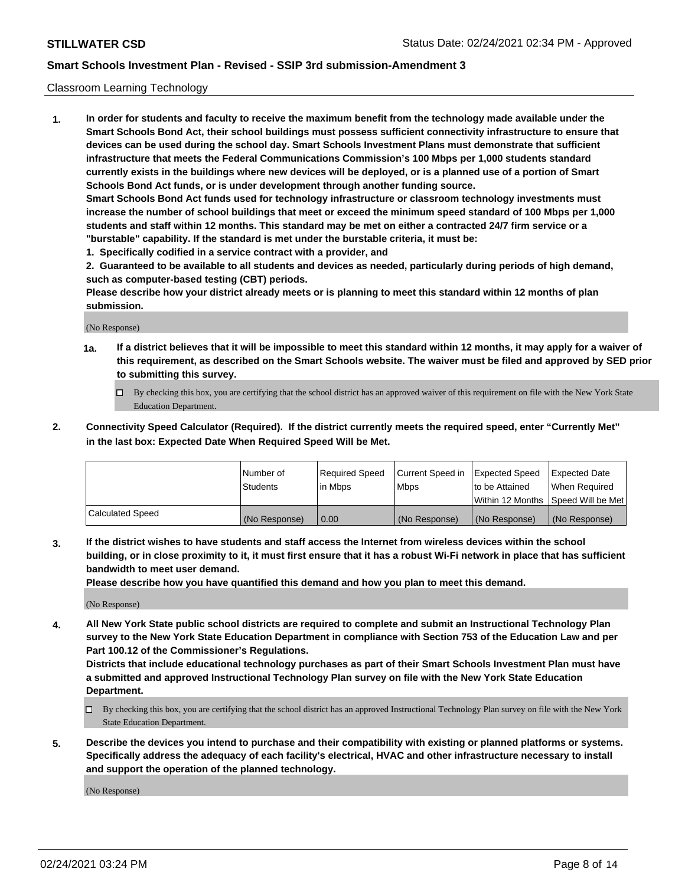### Classroom Learning Technology

**1. In order for students and faculty to receive the maximum benefit from the technology made available under the Smart Schools Bond Act, their school buildings must possess sufficient connectivity infrastructure to ensure that devices can be used during the school day. Smart Schools Investment Plans must demonstrate that sufficient infrastructure that meets the Federal Communications Commission's 100 Mbps per 1,000 students standard currently exists in the buildings where new devices will be deployed, or is a planned use of a portion of Smart Schools Bond Act funds, or is under development through another funding source. Smart Schools Bond Act funds used for technology infrastructure or classroom technology investments must increase the number of school buildings that meet or exceed the minimum speed standard of 100 Mbps per 1,000 students and staff within 12 months. This standard may be met on either a contracted 24/7 firm service or a "burstable" capability. If the standard is met under the burstable criteria, it must be:**

**1. Specifically codified in a service contract with a provider, and**

**2. Guaranteed to be available to all students and devices as needed, particularly during periods of high demand, such as computer-based testing (CBT) periods.**

**Please describe how your district already meets or is planning to meet this standard within 12 months of plan submission.**

(No Response)

- **1a. If a district believes that it will be impossible to meet this standard within 12 months, it may apply for a waiver of this requirement, as described on the Smart Schools website. The waiver must be filed and approved by SED prior to submitting this survey.**
	- By checking this box, you are certifying that the school district has an approved waiver of this requirement on file with the New York State Education Department.
- **2. Connectivity Speed Calculator (Required). If the district currently meets the required speed, enter "Currently Met" in the last box: Expected Date When Required Speed Will be Met.**

|                  | l Number of     | Required Speed | Current Speed in | <b>Expected Speed</b> | <b>Expected Date</b>                |
|------------------|-----------------|----------------|------------------|-----------------------|-------------------------------------|
|                  | <b>Students</b> | l in Mbps      | l Mbps           | to be Attained        | When Required                       |
|                  |                 |                |                  |                       | Within 12 Months  Speed Will be Met |
| Calculated Speed | (No Response)   | 0.00           | (No Response)    | l (No Response)       | (No Response)                       |

**3. If the district wishes to have students and staff access the Internet from wireless devices within the school building, or in close proximity to it, it must first ensure that it has a robust Wi-Fi network in place that has sufficient bandwidth to meet user demand.**

**Please describe how you have quantified this demand and how you plan to meet this demand.**

(No Response)

**4. All New York State public school districts are required to complete and submit an Instructional Technology Plan survey to the New York State Education Department in compliance with Section 753 of the Education Law and per Part 100.12 of the Commissioner's Regulations.**

**Districts that include educational technology purchases as part of their Smart Schools Investment Plan must have a submitted and approved Instructional Technology Plan survey on file with the New York State Education Department.**

- By checking this box, you are certifying that the school district has an approved Instructional Technology Plan survey on file with the New York State Education Department.
- **5. Describe the devices you intend to purchase and their compatibility with existing or planned platforms or systems. Specifically address the adequacy of each facility's electrical, HVAC and other infrastructure necessary to install and support the operation of the planned technology.**

(No Response)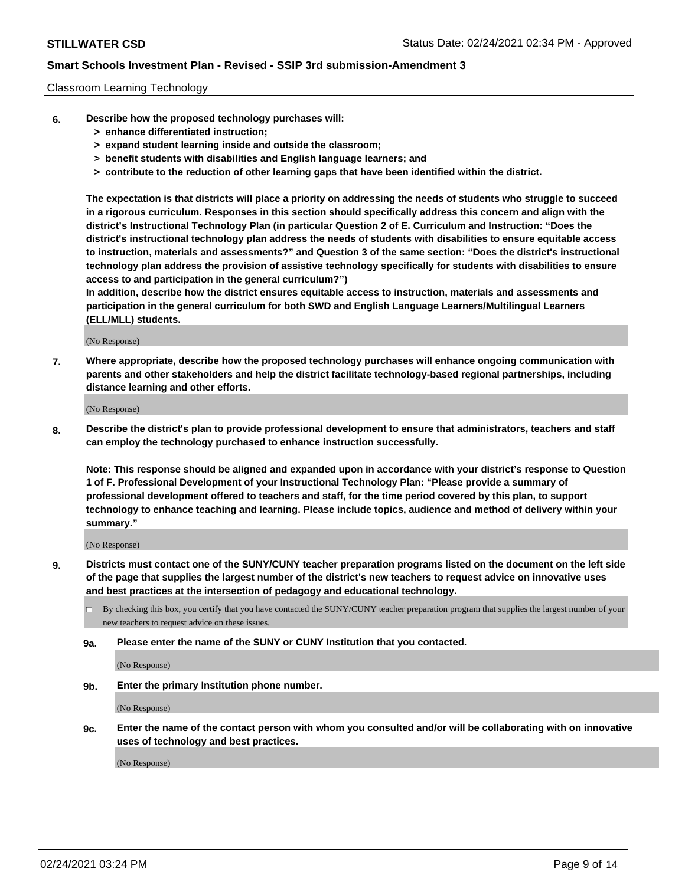### Classroom Learning Technology

- **6. Describe how the proposed technology purchases will:**
	- **> enhance differentiated instruction;**
	- **> expand student learning inside and outside the classroom;**
	- **> benefit students with disabilities and English language learners; and**
	- **> contribute to the reduction of other learning gaps that have been identified within the district.**

**The expectation is that districts will place a priority on addressing the needs of students who struggle to succeed in a rigorous curriculum. Responses in this section should specifically address this concern and align with the district's Instructional Technology Plan (in particular Question 2 of E. Curriculum and Instruction: "Does the district's instructional technology plan address the needs of students with disabilities to ensure equitable access to instruction, materials and assessments?" and Question 3 of the same section: "Does the district's instructional technology plan address the provision of assistive technology specifically for students with disabilities to ensure access to and participation in the general curriculum?")**

**In addition, describe how the district ensures equitable access to instruction, materials and assessments and participation in the general curriculum for both SWD and English Language Learners/Multilingual Learners (ELL/MLL) students.**

(No Response)

**7. Where appropriate, describe how the proposed technology purchases will enhance ongoing communication with parents and other stakeholders and help the district facilitate technology-based regional partnerships, including distance learning and other efforts.**

(No Response)

**8. Describe the district's plan to provide professional development to ensure that administrators, teachers and staff can employ the technology purchased to enhance instruction successfully.**

**Note: This response should be aligned and expanded upon in accordance with your district's response to Question 1 of F. Professional Development of your Instructional Technology Plan: "Please provide a summary of professional development offered to teachers and staff, for the time period covered by this plan, to support technology to enhance teaching and learning. Please include topics, audience and method of delivery within your summary."**

(No Response)

- **9. Districts must contact one of the SUNY/CUNY teacher preparation programs listed on the document on the left side of the page that supplies the largest number of the district's new teachers to request advice on innovative uses and best practices at the intersection of pedagogy and educational technology.**
	- By checking this box, you certify that you have contacted the SUNY/CUNY teacher preparation program that supplies the largest number of your new teachers to request advice on these issues.
	- **9a. Please enter the name of the SUNY or CUNY Institution that you contacted.**

(No Response)

**9b. Enter the primary Institution phone number.**

(No Response)

**9c. Enter the name of the contact person with whom you consulted and/or will be collaborating with on innovative uses of technology and best practices.**

(No Response)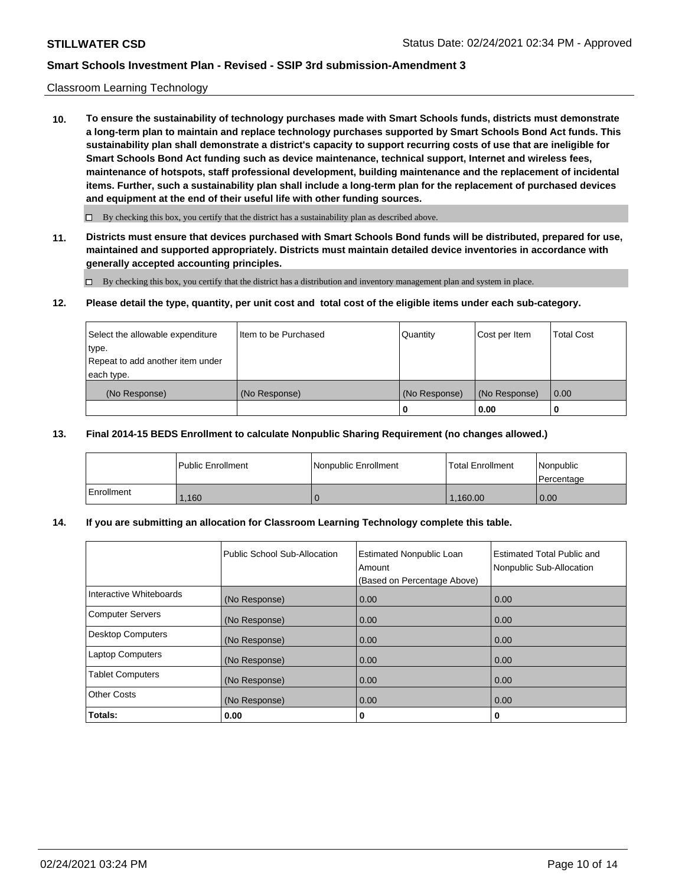### Classroom Learning Technology

**10. To ensure the sustainability of technology purchases made with Smart Schools funds, districts must demonstrate a long-term plan to maintain and replace technology purchases supported by Smart Schools Bond Act funds. This sustainability plan shall demonstrate a district's capacity to support recurring costs of use that are ineligible for Smart Schools Bond Act funding such as device maintenance, technical support, Internet and wireless fees, maintenance of hotspots, staff professional development, building maintenance and the replacement of incidental items. Further, such a sustainability plan shall include a long-term plan for the replacement of purchased devices and equipment at the end of their useful life with other funding sources.**

 $\Box$  By checking this box, you certify that the district has a sustainability plan as described above.

**11. Districts must ensure that devices purchased with Smart Schools Bond funds will be distributed, prepared for use, maintained and supported appropriately. Districts must maintain detailed device inventories in accordance with generally accepted accounting principles.**

By checking this box, you certify that the district has a distribution and inventory management plan and system in place.

### **12. Please detail the type, quantity, per unit cost and total cost of the eligible items under each sub-category.**

| Select the allowable expenditure<br>type.<br>Repeat to add another item under | Item to be Purchased | Quantity      | Cost per Item | <b>Total Cost</b> |
|-------------------------------------------------------------------------------|----------------------|---------------|---------------|-------------------|
| each type.<br>(No Response)                                                   | (No Response)        | (No Response) | (No Response) | 0.00              |
|                                                                               |                      | 0             | 0.00          |                   |

### **13. Final 2014-15 BEDS Enrollment to calculate Nonpublic Sharing Requirement (no changes allowed.)**

|            | l Public Enrollment | <b>INonpublic Enrollment</b> | <b>Total Enrollment</b> | Nonpublic<br>l Percentage |
|------------|---------------------|------------------------------|-------------------------|---------------------------|
| Enrollment | .160                |                              | 1.160.00                | 0.00                      |

### **14. If you are submitting an allocation for Classroom Learning Technology complete this table.**

|                         | Public School Sub-Allocation | <b>Estimated Nonpublic Loan</b><br>Amount<br>(Based on Percentage Above) | Estimated Total Public and<br>Nonpublic Sub-Allocation |
|-------------------------|------------------------------|--------------------------------------------------------------------------|--------------------------------------------------------|
| Interactive Whiteboards | (No Response)                | 0.00                                                                     | 0.00                                                   |
| Computer Servers        | (No Response)                | 0.00                                                                     | 0.00                                                   |
| Desktop Computers       | (No Response)                | 0.00                                                                     | 0.00                                                   |
| <b>Laptop Computers</b> | (No Response)                | 0.00                                                                     | 0.00                                                   |
| <b>Tablet Computers</b> | (No Response)                | 0.00                                                                     | 0.00                                                   |
| Other Costs             | (No Response)                | 0.00                                                                     | 0.00                                                   |
| Totals:                 | 0.00                         | 0                                                                        | 0                                                      |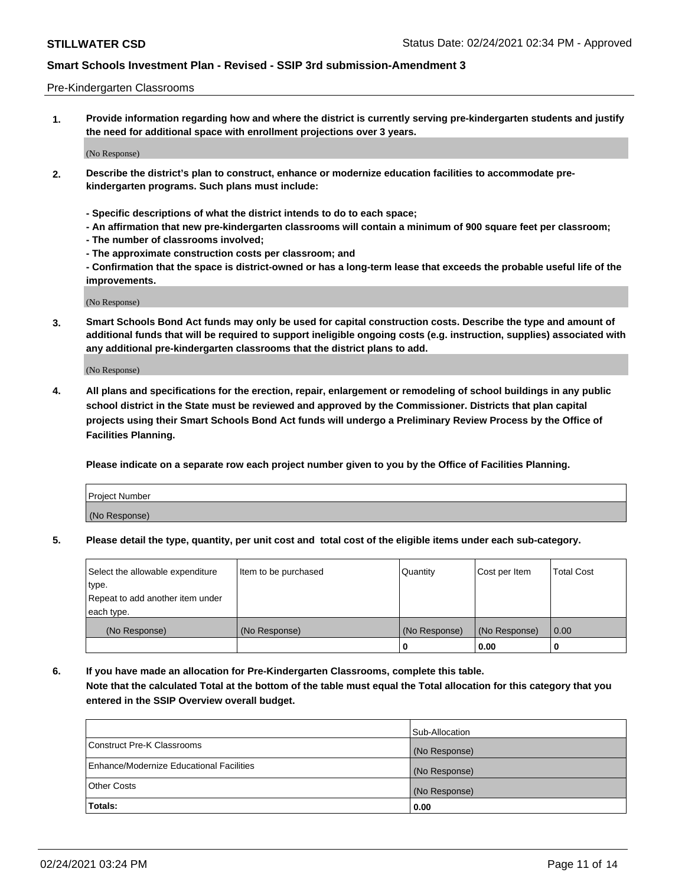### Pre-Kindergarten Classrooms

**1. Provide information regarding how and where the district is currently serving pre-kindergarten students and justify the need for additional space with enrollment projections over 3 years.**

(No Response)

- **2. Describe the district's plan to construct, enhance or modernize education facilities to accommodate prekindergarten programs. Such plans must include:**
	- **Specific descriptions of what the district intends to do to each space;**
	- **An affirmation that new pre-kindergarten classrooms will contain a minimum of 900 square feet per classroom;**
	- **The number of classrooms involved;**
	- **The approximate construction costs per classroom; and**
	- **Confirmation that the space is district-owned or has a long-term lease that exceeds the probable useful life of the improvements.**

(No Response)

**3. Smart Schools Bond Act funds may only be used for capital construction costs. Describe the type and amount of additional funds that will be required to support ineligible ongoing costs (e.g. instruction, supplies) associated with any additional pre-kindergarten classrooms that the district plans to add.**

(No Response)

**4. All plans and specifications for the erection, repair, enlargement or remodeling of school buildings in any public school district in the State must be reviewed and approved by the Commissioner. Districts that plan capital projects using their Smart Schools Bond Act funds will undergo a Preliminary Review Process by the Office of Facilities Planning.**

**Please indicate on a separate row each project number given to you by the Office of Facilities Planning.**

| Project Number |  |
|----------------|--|
| (No Response)  |  |
|                |  |

**5. Please detail the type, quantity, per unit cost and total cost of the eligible items under each sub-category.**

| Select the allowable expenditure | Item to be purchased | Quantity      | Cost per Item | <b>Total Cost</b> |
|----------------------------------|----------------------|---------------|---------------|-------------------|
| type.                            |                      |               |               |                   |
| Repeat to add another item under |                      |               |               |                   |
| each type.                       |                      |               |               |                   |
| (No Response)                    | (No Response)        | (No Response) | (No Response) | 0.00              |
|                                  |                      | U             | 0.00          |                   |

**6. If you have made an allocation for Pre-Kindergarten Classrooms, complete this table. Note that the calculated Total at the bottom of the table must equal the Total allocation for this category that you entered in the SSIP Overview overall budget.**

|                                          | Sub-Allocation |
|------------------------------------------|----------------|
| Construct Pre-K Classrooms               | (No Response)  |
| Enhance/Modernize Educational Facilities | (No Response)  |
| <b>Other Costs</b>                       | (No Response)  |
| Totals:                                  | 0.00           |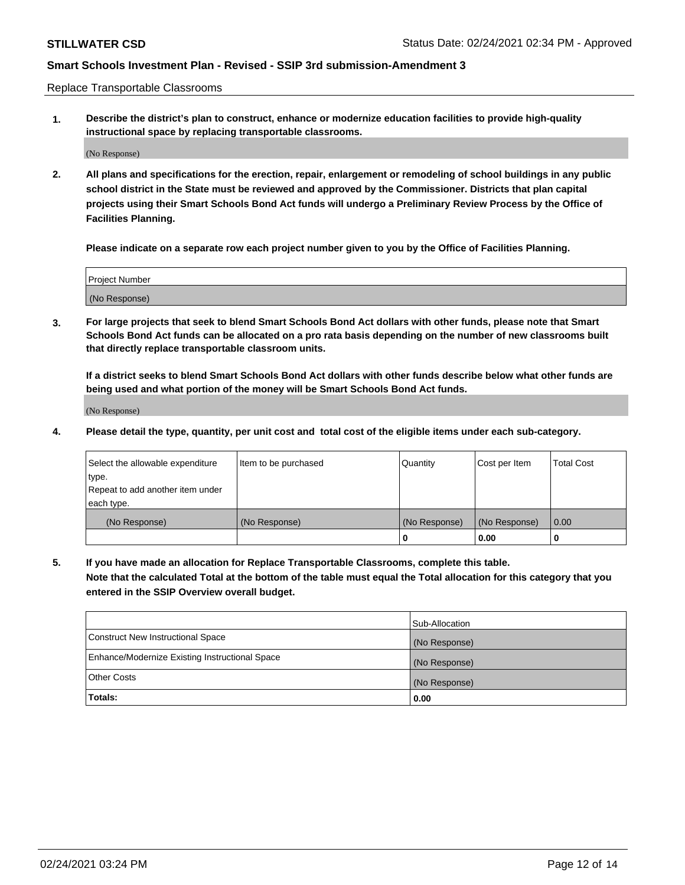Replace Transportable Classrooms

**1. Describe the district's plan to construct, enhance or modernize education facilities to provide high-quality instructional space by replacing transportable classrooms.**

(No Response)

**2. All plans and specifications for the erection, repair, enlargement or remodeling of school buildings in any public school district in the State must be reviewed and approved by the Commissioner. Districts that plan capital projects using their Smart Schools Bond Act funds will undergo a Preliminary Review Process by the Office of Facilities Planning.**

**Please indicate on a separate row each project number given to you by the Office of Facilities Planning.**

| Project Number |  |
|----------------|--|
|                |  |
|                |  |
|                |  |
| (No Response)  |  |
|                |  |
|                |  |

**3. For large projects that seek to blend Smart Schools Bond Act dollars with other funds, please note that Smart Schools Bond Act funds can be allocated on a pro rata basis depending on the number of new classrooms built that directly replace transportable classroom units.**

**If a district seeks to blend Smart Schools Bond Act dollars with other funds describe below what other funds are being used and what portion of the money will be Smart Schools Bond Act funds.**

(No Response)

**4. Please detail the type, quantity, per unit cost and total cost of the eligible items under each sub-category.**

| Select the allowable expenditure | Item to be purchased | Quantity      | Cost per Item | Total Cost |
|----------------------------------|----------------------|---------------|---------------|------------|
| ∣type.                           |                      |               |               |            |
| Repeat to add another item under |                      |               |               |            |
| each type.                       |                      |               |               |            |
| (No Response)                    | (No Response)        | (No Response) | (No Response) | 0.00       |
|                                  |                      | u             | 0.00          |            |

**5. If you have made an allocation for Replace Transportable Classrooms, complete this table. Note that the calculated Total at the bottom of the table must equal the Total allocation for this category that you entered in the SSIP Overview overall budget.**

|                                                | Sub-Allocation |
|------------------------------------------------|----------------|
| Construct New Instructional Space              | (No Response)  |
| Enhance/Modernize Existing Instructional Space | (No Response)  |
| Other Costs                                    | (No Response)  |
| Totals:                                        | 0.00           |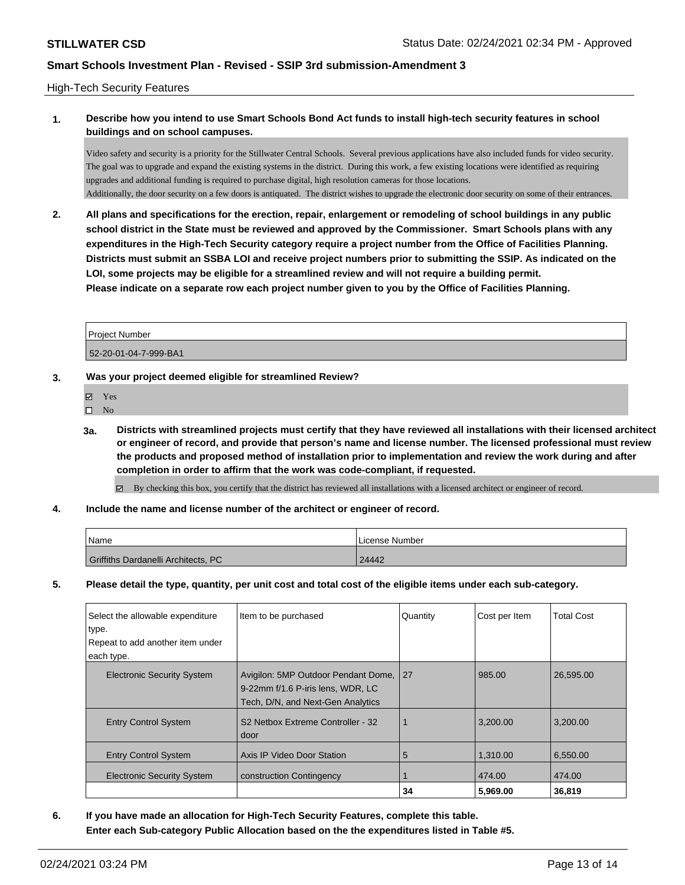### High-Tech Security Features

## **1. Describe how you intend to use Smart Schools Bond Act funds to install high-tech security features in school buildings and on school campuses.**

Video safety and security is a priority for the Stillwater Central Schools. Several previous applications have also included funds for video security. The goal was to upgrade and expand the existing systems in the district. During this work, a few existing locations were identified as requiring upgrades and additional funding is required to purchase digital, high resolution cameras for those locations. Additionally, the door security on a few doors is antiquated. The district wishes to upgrade the electronic door security on some of their entrances.

**2. All plans and specifications for the erection, repair, enlargement or remodeling of school buildings in any public school district in the State must be reviewed and approved by the Commissioner. Smart Schools plans with any expenditures in the High-Tech Security category require a project number from the Office of Facilities Planning. Districts must submit an SSBA LOI and receive project numbers prior to submitting the SSIP. As indicated on the LOI, some projects may be eligible for a streamlined review and will not require a building permit. Please indicate on a separate row each project number given to you by the Office of Facilities Planning.**

| <b>Project Number</b> |  |
|-----------------------|--|
| 52-20-01-04-7-999-BA1 |  |

### **3. Was your project deemed eligible for streamlined Review?**

- **冈** Yes
- $\hfill \square$  No
- **3a. Districts with streamlined projects must certify that they have reviewed all installations with their licensed architect or engineer of record, and provide that person's name and license number. The licensed professional must review the products and proposed method of installation prior to implementation and review the work during and after completion in order to affirm that the work was code-compliant, if requested.**

By checking this box, you certify that the district has reviewed all installations with a licensed architect or engineer of record.

**4. Include the name and license number of the architect or engineer of record.**

| 'Name                               | License Number |
|-------------------------------------|----------------|
| Griffiths Dardanelli Architects, PC | 24442          |

**5. Please detail the type, quantity, per unit cost and total cost of the eligible items under each sub-category.**

| Select the allowable expenditure<br>type. | Item to be purchased                                                                                          | Quantity | Cost per Item | <b>Total Cost</b> |
|-------------------------------------------|---------------------------------------------------------------------------------------------------------------|----------|---------------|-------------------|
| Repeat to add another item under          |                                                                                                               |          |               |                   |
| each type.                                |                                                                                                               |          |               |                   |
| <b>Electronic Security System</b>         | Avigilon: 5MP Outdoor Pendant Dome,<br>9-22mm f/1.6 P-iris lens, WDR, LC<br>Tech, D/N, and Next-Gen Analytics | l 27     | 985.00        | 26.595.00         |
| <b>Entry Control System</b>               | S <sub>2</sub> Netbox Extreme Controller - 32<br>door                                                         |          | 3.200.00      | 3.200.00          |
| <b>Entry Control System</b>               | Axis IP Video Door Station                                                                                    | 5        | 1.310.00      | 6,550.00          |
| <b>Electronic Security System</b>         | construction Contingency                                                                                      |          | 474.00        | 474.00            |
|                                           |                                                                                                               | 34       | 5.969.00      | 36,819            |

**6. If you have made an allocation for High-Tech Security Features, complete this table. Enter each Sub-category Public Allocation based on the the expenditures listed in Table #5.**